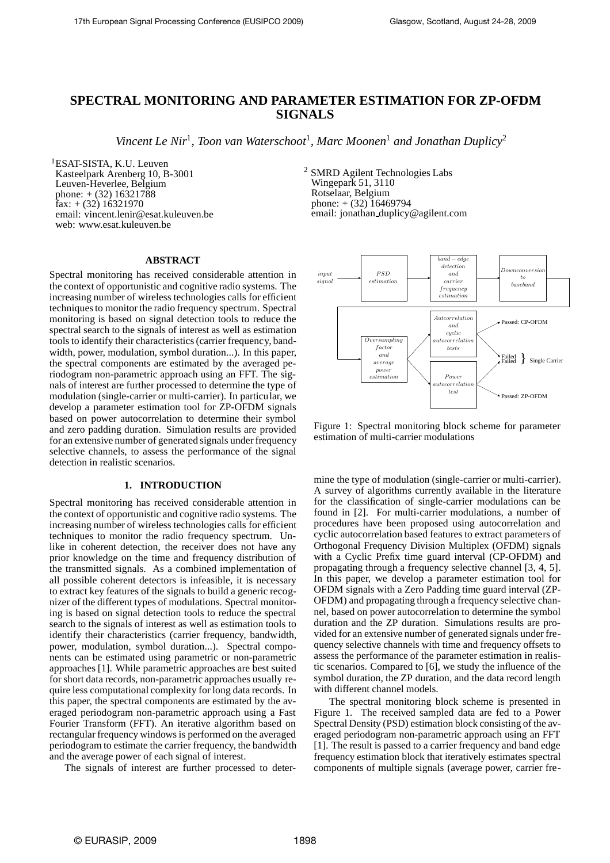# **SPECTRAL MONITORING AND PARAMETER ESTIMATION FOR ZP-OFDM SIGNALS**

Vincent Le Nir<sup>1</sup>, Toon van Waterschoot<sup>1</sup>, Marc Moonen<sup>1</sup> and Jonathan Duplicy<sup>2</sup>

<sup>1</sup>ESAT-SISTA, K.U. Leuven Kasteelpark Arenberg 10, B-3001 Leuven-Heverlee, Belgium phone:  $+(32)$  16321788  $\text{fax:} + (32)$  16321970 email: vincent.lenir@esat.kuleuven.be web: www.esat.kuleuven.be

#### **ABSTRACT**

Spectral monitoring has received considerable attention in the context of opportunistic and cognitive radio systems. The increasing number of wireless technologies calls for efficient techniques to monitor the radio frequency spectrum. Spectral monitoring is based on signal detection tools to reduce the spectral search to the signals of interest as well as estimation tools to identify their characteristics (carrier frequency, bandwidth, power, modulation, symbol duration...). In this paper, the spectral components are estimated by the averaged periodogram non-parametric approach using an FFT. The signals of interest are further processed to determine the type of modulation (single-carrier or multi-carrier). In particular, we develop a parameter estimation tool for ZP-OFDM signals based on power autocorrelation to determine their symbol and zero padding duration. Simulation results are provided for an extensive number of generated signals under frequency selective channels, to assess the performance of the signal detection in realistic scenarios.

## **1. INTRODUCTION**

Spectral monitoring has received considerable attention in the context of opportunistic and cognitive radio systems. The increasing number of wireless technologies calls for efficient techniques to monitor the radio frequency spectrum. Unlike in coherent detection, the receiver does not have any prior knowledge on the time and frequency distribution of the transmitted signals. As a combined implementation of all possible coherent detectors is infeasible, it is necessary to extract key features of the signals to build a generic recognizer of the different types of modulations. Spectral monitoring is based on signal detection tools to reduce the spectral search to the signals of interest as well as estimation tools to identify their characteristics (carrier frequency, bandwidth, power, modulation, symbol duration...). Spectral components can be estimated using parametric or non-parametric approaches [1]. While parametric approaches are best suited for short data records, non-parametric approaches usually require less computational complexity for long data records. In this paper, the spectral components are estimated by the averaged periodogram non-parametric approach using a Fast Fourier Transform (FFT). An iterative algorithm based on rectangular frequency windows is performed on the averaged periodogram to estimate the carrier frequency, the bandwidth and the average power of each signal of interest.

The signals of interest are further processed to deter-

<sup>2</sup> SMRD Agilent Technologies Labs Wingepark 51, 3110 Rotselaar, Belgium phone:  $+(32)$  16469794 email: jonathan duplicy@agilent.com



Figure 1: Spectral monitoring block scheme for parameter estimation of multi-carrier modulations

mine the type of modulation (single-carrier or multi-carrier). A survey of algorithms currently available in the literature for the classification of single-carrier modulations can be found in [2]. For multi-carrier modulations, a number of procedures have been proposed using autocorrelation and cyclic autocorrelation based features to extract parameters of Orthogonal Frequency Division Multiplex (OFDM) signals with a Cyclic Prefix time guard interval (CP-OFDM) and propagating through a frequency selective channel [3, 4, 5]. In this paper, we develop a parameter estimation tool for OFDM signals with a Zero Padding time guard interval (ZP-OFDM) and propagating through a frequency selective channel, based on power autocorrelation to determine the symbol duration and the ZP duration. Simulations results are provided for an extensive number of generated signals under frequency selective channels with time and frequency offsets to assess the performance of the parameter estimation in realistic scenarios. Compared to [6], we study the influence of the symbol duration, the ZP duration, and the data record length with different channel models.

The spectral monitoring block scheme is presented in Figure 1. The received sampled data are fed to a Power Spectral Density (PSD) estimation block consisting of the averaged periodogram non-parametric approach using an FFT [1]. The result is passed to a carrier frequency and band edge frequency estimation block that iteratively estimates spectral components of multiple signals (average power, carrier fre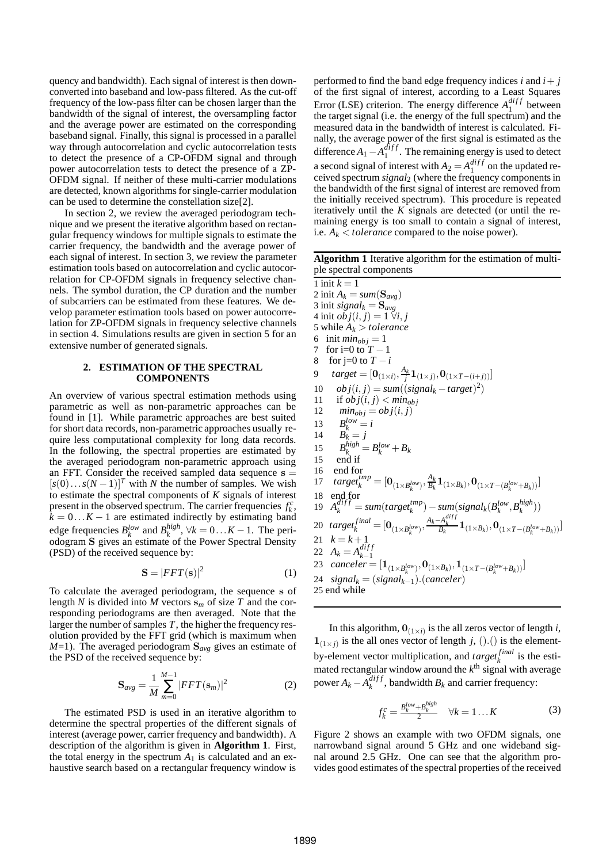quency and bandwidth). Each signal of interest is then downconverted into baseband and low-pass filtered. As the cut-off frequency of the low-pass filter can be chosen larger than the bandwidth of the signal of interest, the oversampling factor and the average power are estimated on the corresponding baseband signal. Finally, this signal is processed in a parallel way through autocorrelation and cyclic autocorrelation tests to detect the presence of a CP-OFDM signal and through power autocorrelation tests to detect the presence of a ZP-OFDM signal. If neither of these multi-carrier modulations are detected, known algorithms for single-carrier modulation can be used to determine the constellation size[2].

In section 2, we review the averaged periodogram technique and we present the iterative algorithm based on rectangular frequency windows for multiple signals to estimate the carrier frequency, the bandwidth and the average power of each signal of interest. In section 3, we review the parameter estimation tools based on autocorrelation and cyclic autocorrelation for CP-OFDM signals in frequency selective channels. The symbol duration, the CP duration and the number of subcarriers can be estimated from these features. We develop parameter estimation tools based on power autocorrelation for ZP-OFDM signals in frequency selective channels in section 4. Simulations results are given in section 5 for an extensive number of generated signals.

#### **2. ESTIMATION OF THE SPECTRAL COMPONENTS**

An overview of various spectral estimation methods using parametric as well as non-parametric approaches can be found in [1]. While parametric approaches are best suited for short data records, non-parametric approaches usually require less computational complexity for long data records. In the following, the spectral properties are estimated by the averaged periodogram non-parametric approach using an FFT. Consider the received sampled data sequence  $s =$  $[s(0)...s(N-1)]^T$  with *N* the number of samples. We wish to estimate the spectral components of *K* signals of interest present in the observed spectrum. The carrier frequencies  $f_k^c$ , present in the observed spectrum. The carrier requencies  $j_k$ ,  $k = 0...K - 1$  are estimated indirectly by estimating band edge frequencies  $B_k^{low}$  and  $B_k^{high}$  $_{k}^{mgn}$ ,  $\forall k = 0...K - 1$ . The periodogram S gives an estimate of the Power Spectral Density (PSD) of the received sequence by:

$$
\mathbf{S} = |FFT(\mathbf{s})|^2 \tag{1}
$$

To calculate the averaged periodogram, the sequence s of length *N* is divided into *M* vectors  $\mathbf{s}_m$  of size *T* and the corresponding periodograms are then averaged. Note that the larger the number of samples *T*, the higher the frequency resolution provided by the FFT grid (which is maximum when *M*=1). The averaged periodogram  $S_{\text{ave}}$  gives an estimate of the PSD of the received sequence by:

$$
\mathbf{S}_{avg} = \frac{1}{M} \sum_{m=0}^{M-1} |FFT(\mathbf{s}_m)|^2
$$
 (2)

The estimated PSD is used in an iterative algorithm to determine the spectral properties of the different signals of interest (average power, carrier frequency and bandwidth). A description of the algorithm is given in **Algorithm 1**. First, the total energy in the spectrum  $A_1$  is calculated and an exhaustive search based on a rectangular frequency window is performed to find the band edge frequency indices *i* and  $i + j$ of the first signal of interest, according to a Least Squares Error (LSE) criterion. The energy difference  $A_1^{diff}$  $_1^{a_{IJJ}}$  between the target signal (i.e. the energy of the full spectrum) and the measured data in the bandwidth of interest is calculated. Finally, the average power of the first signal is estimated as the difference  $A_1 - A_1^{diff}$  $_1^{a_{IJ}}$ . The remaining energy is used to detect a second signal of interest with  $A_2 = A_1^{diff}$  $_1^{a_{IJJ}}$  on the updated received spectrum *signal*<sup>2</sup> (where the frequency components in the bandwidth of the first signal of interest are removed from the initially received spectrum). This procedure is repeated iteratively until the *K* signals are detected (or until the remaining energy is too small to contain a signal of interest, i.e.  $A_k$  < *tolerance* compared to the noise power).

**Algorithm 1** Iterative algorithm for the estimation of multiple spectral components

1 init  $k = 1$ 2 init  $A_k = sum(\mathbf{S}_{avg})$ 3 init *signal*<sub> $k$ </sub> =  $\mathbf{S}_{avg}$ 4 init  $obj(i, j) = 1 \ \forall i, j$ 5 while  $A_k > tolerance$ 6 init  $min_{obj} = 1$ 7 for i=0 to *T* −1 8 for j=0 to  $T - i$ 9  $\text{target} = [\mathbf{0}_{(1 \times i)}, \frac{A_k}{j} \mathbf{1}_{(1 \times j)}, \mathbf{0}_{(1 \times T - (i+j))}]$ 10  $obj(i, j) = sum((signal_k - target)^2)$ 11 if  $obj(i, j) < min_{obj}$ <br>12  $min_{obj} = obj(i, j)$  $min_{obj} = obj(i, j)$ 13  $B_k^{low} = i$ 14  $B_k = j$ 15  $B_k^{high} = B_k^{low} + B_k$ 15 end if 16 end for<br>
17  $\text{target}_k^{\text{tmp}} = [\mathbf{0}_{(1 \times B_k^{\text{low}})}, \frac{A_k}{B_k}]$  $\frac{A_k}{B_k} \mathbf{1}_{\left(1 \times B_k\right)}, \mathbf{0}_{\left(1 \times T - \left(B_k^{low} + B_k\right)\right)}\}$ 18 end for 19  $A_k^{diff} = sum(target_k^{tmp}) - sum(sign_k(k)B_k^{high})$  $_{k}^{mgn}$  $))$ 20  $target_k^{final} = [\mathbf{0}_{(1 \times B_k^{low})}, \frac{A_k - A_k^{diff}}{B_k} \mathbf{1}_{(1 \times B_k)}, \mathbf{0}_{(1 \times T - (B_k^{low} + B_k))}]$ 21  $k = k + 1$ 22  $A_k = A_{k-1}^{diff}$ 22  $A_k - A_{k-1}$ <br>
23  $canceler = [1_{(1 \times B_k^{low})}, 0_{(1 \times B_k)}, 1_{(1 \times T - (B_k^{low} + B_k))}]$ 24  $signal_k = (signal_{k-1})$ .(*canceler*) 25 end while

In this algorithm,  $\mathbf{0}_{(1 \times i)}$  is the all zeros vector of length *i*,  $\mathbf{1}_{(1 \times j)}$  is the all ones vector of length *j*, ().() is the elementby-element vector multiplication, and  $target_k^{final}$  is the estimated rectangular window around the  $k^{\text{th}}$  signal with average power  $A_k - A_k^{diff}$  $k_k^{a_{IJ}}$ , bandwidth  $B_k$  and carrier frequency:

$$
f_k^c = \frac{B_k^{low} + B_k^{high}}{2} \quad \forall k = 1...K
$$
 (3)

Figure 2 shows an example with two OFDM signals, one narrowband signal around 5 GHz and one wideband signal around 2.5 GHz. One can see that the algorithm provides good estimates of the spectral properties of the received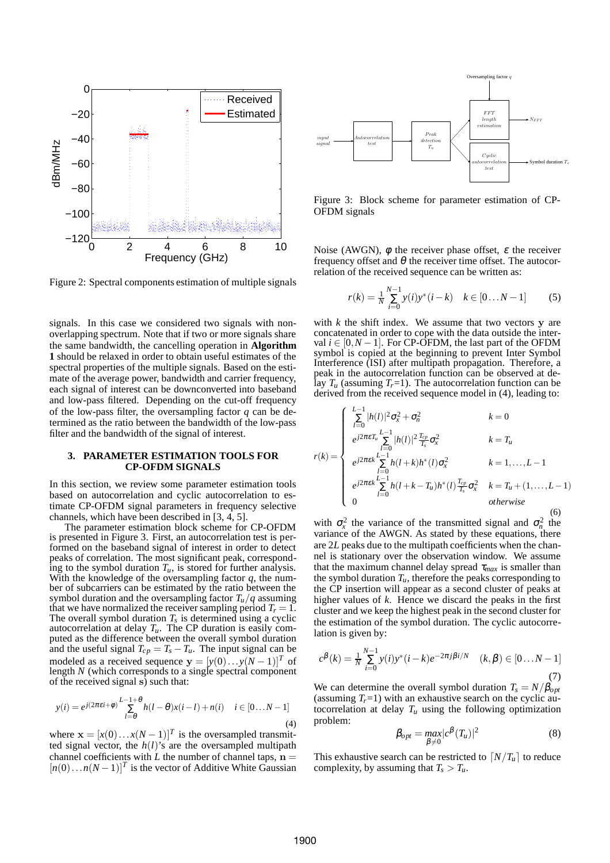

Figure 2: Spectral components estimation of multiple signals

signals. In this case we considered two signals with nonoverlapping spectrum. Note that if two or more signals share the same bandwidth, the cancelling operation in **Algorithm 1** should be relaxed in order to obtain useful estimates of the spectral properties of the multiple signals. Based on the estimate of the average power, bandwidth and carrier frequency, each signal of interest can be downconverted into baseband and low-pass filtered. Depending on the cut-off frequency of the low-pass filter, the oversampling factor *q* can be determined as the ratio between the bandwidth of the low-pass filter and the bandwidth of the signal of interest.

#### **3. PARAMETER ESTIMATION TOOLS FOR CP-OFDM SIGNALS**

In this section, we review some parameter estimation tools based on autocorrelation and cyclic autocorrelation to estimate CP-OFDM signal parameters in frequency selective channels, which have been described in [3, 4, 5].

The parameter estimation block scheme for CP-OFDM is presented in Figure 3. First, an autocorrelation test is performed on the baseband signal of interest in order to detect peaks of correlation. The most significant peak, corresponding to the symbol duration  $T_u$ , is stored for further analysis. With the knowledge of the oversampling factor *q*, the number of subcarriers can be estimated by the ratio between the symbol duration and the oversampling factor  $T_u/q$  assuming that we have normalized the receiver sampling period  $T_r = 1$ . The overall symbol duration  $T_s$  is determined using a cyclic autocorrelation at delay  $T_u$ . The CP duration is easily computed as the difference between the overall symbol duration and the useful signal  $T_{cp} = T_s - T_u$ . The input signal can be modeled as a received sequence  $y = [y(0) \dots y(N-1)]^T$  of length *N* (which corresponds to a single spectral component of the received signal s) such that:

$$
y(i) = e^{j(2\pi\epsilon i + \phi)} \sum_{l=\theta}^{L-1+\theta} h(l-\theta)x(i-l) + n(i) \quad i \in [0...N-1]
$$
\n(4)

where  $\mathbf{x} = [x(0) \dots x(N-1)]^T$  is the oversampled transmitted signal vector, the  $h(l)$ 's are the oversampled multipath channel coefficients with  $\hat{L}$  the number of channel taps,  $\hat{n} =$  $[n(0)...n(N-1)]^T$  is the vector of Additive White Gaussian



Figure 3: Block scheme for parameter estimation of CP-OFDM signals

Noise (AWGN),  $\phi$  the receiver phase offset,  $\varepsilon$  the receiver frequency offset and  $\theta$  the receiver time offset. The autocorrelation of the received sequence can be written as:

$$
r(k) = \frac{1}{N} \sum_{i=0}^{N-1} y(i) y^{*}(i-k) \quad k \in [0...N-1]
$$
 (5)

with  $k$  the shift index. We assume that two vectors  $y$  are concatenated in order to cope with the data outside the interval  $i \in [0, N-1]$ . For CP-OFDM, the last part of the OFDM symbol is copied at the beginning to prevent Inter Symbol Interference (ISI) after multipath propagation. Therefore, a peak in the autocorrelation function can be observed at delay  $T_u$  (assuming  $T_r = 1$ ). The autocorrelation function can be derived from the received sequence model in (4), leading to:

$$
r(k) = \begin{cases} \sum_{l=0}^{L-1} |h(l)|^2 \sigma_x^2 + \sigma_n^2 & k=0\\ e^{j2\pi\epsilon T_u} \sum_{l=0}^{L-1} |h(l)|^2 \frac{T_{cp}}{T_s} \sigma_x^2 & k=T_u\\ e^{j2\pi\epsilon k} \sum_{l=0}^{L-1} h(l+k)h^*(l) \sigma_x^2 & k=1,\dots,L-1\\ e^{j2\pi\epsilon k} \sum_{l=0}^{L-1} h(l+k-T_u)h^*(l) \frac{T_{cp}}{T_s} \sigma_x^2 & k=T_u+(1,\dots,L-1)\\ 0 & otherwise \end{cases}
$$
(6)

with  $\sigma_x^2$  the variance of the transmitted signal and  $\sigma_n^2$  the variance of the AWGN. As stated by these equations, there are 2*L* peaks due to the multipath coefficients when the channel is stationary over the observation window. We assume that the maximum channel delay spread  $\tau_{max}$  is smaller than the symbol duration  $T_u$ , therefore the peaks corresponding to the CP insertion will appear as a second cluster of peaks at higher values of *k*. Hence we discard the peaks in the first cluster and we keep the highest peak in the second cluster for the estimation of the symbol duration. The cyclic autocorrelation is given by:

$$
c^{\beta}(k) = \frac{1}{N} \sum_{i=0}^{N-1} y(i) y^{*}(i-k) e^{-2\pi j \beta i/N} \quad (k, \beta) \in [0...N-1]
$$
\n(7)

We can determine the overall symbol duration  $T_s = N/\beta_{opt}$ (assuming  $T<sub>r</sub>=1$ ) with an exhaustive search on the cyclic autocorrelation at delay  $T_u$  using the following optimization problem:

$$
\beta_{opt} = \max_{\beta \neq 0} |c^{\beta}(T_u)|^2 \tag{8}
$$

This exhaustive search can be restricted to  $\left[N/T_u\right]$  to reduce complexity, by assuming that  $T_s > T_u$ .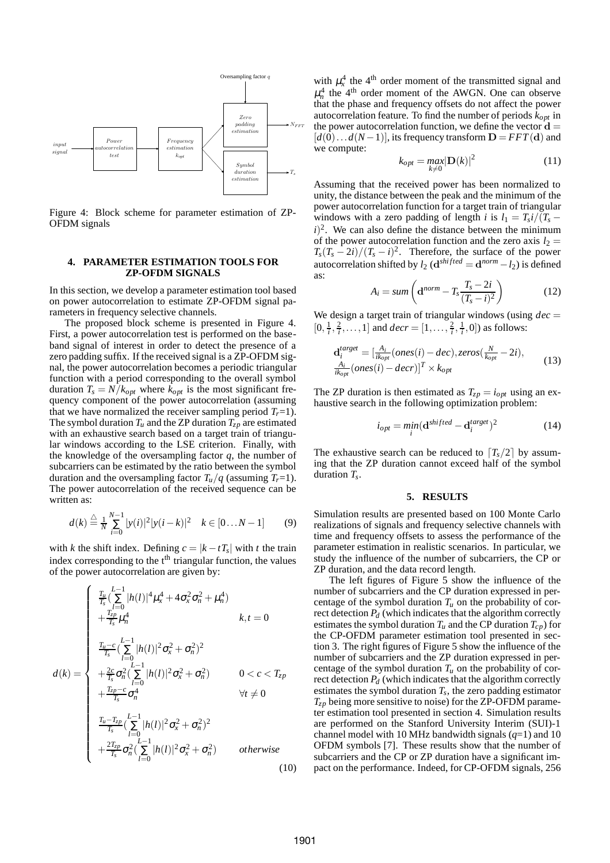

Figure 4: Block scheme for parameter estimation of ZP-OFDM signals

## **4. PARAMETER ESTIMATION TOOLS FOR ZP-OFDM SIGNALS**

In this section, we develop a parameter estimation tool based on power autocorrelation to estimate ZP-OFDM signal parameters in frequency selective channels.

The proposed block scheme is presented in Figure 4. First, a power autocorrelation test is performed on the baseband signal of interest in order to detect the presence of a zero padding suffix. If the received signal is a ZP-OFDM signal, the power autocorrelation becomes a periodic triangular function with a period corresponding to the overall symbol duration  $T_s = N/k_{opt}$  where  $k_{opt}$  is the most significant frequency component of the power autocorrelation (assuming that we have normalized the receiver sampling period  $T_r = 1$ ). The symbol duration  $T_u$  and the ZP duration  $T_{zp}$  are estimated with an exhaustive search based on a target train of triangular windows according to the LSE criterion. Finally, with the knowledge of the oversampling factor *q*, the number of subcarriers can be estimated by the ratio between the symbol duration and the oversampling factor  $T_u/q$  (assuming  $T_r=1$ ). The power autocorrelation of the received sequence can be written as:

$$
d(k) \stackrel{\triangle}{=} \frac{1}{N} \sum_{i=0}^{N-1} |y(i)|^2 |y(i-k)|^2 \quad k \in [0...N-1]
$$
 (9)

with *k* the shift index. Defining  $c = |k - tT_s|$  with *t* the train index corresponding to the  $t<sup>th</sup>$  triangular function, the values of the power autocorrelation are given by:

$$
d(k) = \begin{cases} \frac{T_u}{T_s} \left( \sum_{l=0}^{L-1} |h(l)|^4 \mu_x^4 + 4 \sigma_x^2 \sigma_n^2 + \mu_n^4 \right) \\ + \frac{T_{zD}^2}{T_s} \mu_n^4 & k, t = 0 \\ \frac{T_{u}-c}{T_s} \left( \sum_{l=0}^{L-1} |h(l)|^2 \sigma_x^2 + \sigma_n^2 \right)^2 \\ + \frac{2c}{T_s} \sigma_n^2 \left( \sum_{l=0}^{L-1} |h(l)|^2 \sigma_x^2 + \sigma_n^2 \right) & 0 < c < T_{zp} \\ + \frac{T_{zp}-c}{T_s} \sigma_n^4 & \forall t \neq 0 \\ \frac{T_u - T_{zp}}{T_s} \left( \sum_{l=0}^{L-1} |h(l)|^2 \sigma_x^2 + \sigma_n^2 \right)^2 \\ + \frac{2T_{zp}}{T_s} \sigma_n^2 \left( \sum_{l=0}^{L-1} |h(l)|^2 \sigma_x^2 + \sigma_n^2 \right) & otherwise \end{cases}
$$
(10)

with  $\mu_x^4$  the 4<sup>th</sup> order moment of the transmitted signal and  $\mu_n^4$  the 4<sup>th</sup> order moment of the AWGN. One can observe that the phase and frequency offsets do not affect the power autocorrelation feature. To find the number of periods *kopt* in the power autocorrelation function, we define the vector  $\mathbf{d} =$  $[d(0)...d(N-1)]$ , its frequency transform  $D = FFT(d)$  and we compute:

$$
k_{opt} = \max_{k \neq 0} |\mathbf{D}(k)|^2 \tag{11}
$$

Assuming that the received power has been normalized to unity, the distance between the peak and the minimum of the power autocorrelation function for a target train of triangular windows with a zero padding of length *i* is  $l_1 = T_s i/(T_s (i)^2$ . We can also define the distance between the minimum of the power autocorrelation function and the zero axis  $l_2$  =  $T_s(T_s - 2i)/(T_s - i)^2$ . Therefore, the surface of the power autocorrelation shifted by  $l_2$  ( $\mathbf{d}^{shifted} = \mathbf{d}^{norm} - l_2$ ) is defined as:

$$
A_i = sum\left(\mathbf{d}^{norm} - T_s \frac{T_s - 2i}{(T_s - i)^2}\right) \tag{12}
$$

We design a target train of triangular windows (using  $dec =$  $[0, \frac{1}{i}, \frac{2}{i}, \dots, 1]$  and  $decr = [1, \dots, \frac{2}{i}, \frac{1}{i}, 0]$  as follows:

$$
\mathbf{d}_{i}^{target} = [\frac{A_{i}}{ik_{opt}}(ones(i) - dec), zeros(\frac{N}{k_{opt}} - 2i),
$$
  

$$
\frac{A_{i}}{ik_{opt}}(ones(i) - decr)]^{T} \times k_{opt}
$$
 (13)

The ZP duration is then estimated as  $T_{zp} = i_{opt}$  using an exhaustive search in the following optimization problem:

$$
i_{opt} = \min_{i} (\mathbf{d}^{shifted} - \mathbf{d}^{target}_{i})^2
$$
 (14)

The exhaustive search can be reduced to  $[T_s/2]$  by assuming that the ZP duration cannot exceed half of the symbol duration *T<sup>s</sup>* .

#### **5. RESULTS**

Simulation results are presented based on 100 Monte Carlo realizations of signals and frequency selective channels with time and frequency offsets to assess the performance of the parameter estimation in realistic scenarios. In particular, we study the influence of the number of subcarriers, the CP or ZP duration, and the data record length.

The left figures of Figure 5 show the influence of the number of subcarriers and the CP duration expressed in percentage of the symbol duration  $T_u$  on the probability of correct detection *P<sup>d</sup>* (which indicates that the algorithm correctly estimates the symbol duration  $T_u$  and the CP duration  $T_{cp}$ ) for the CP-OFDM parameter estimation tool presented in section 3. The right figures of Figure 5 show the influence of the number of subcarriers and the ZP duration expressed in percentage of the symbol duration  $T_u$  on the probability of correct detection  $P_d$  (which indicates that the algorithm correctly estimates the symbol duration  $T_s$ , the zero padding estimator  $T_{zp}$  being more sensitive to noise) for the ZP-OFDM parameter estimation tool presented in section 4. Simulation results are performed on the Stanford University Interim (SUI)-1 channel model with 10 MHz bandwidth signals (*q*=1) and 10 OFDM symbols [7]. These results show that the number of subcarriers and the CP or ZP duration have a significant impact on the performance. Indeed, for CP-OFDM signals, 256